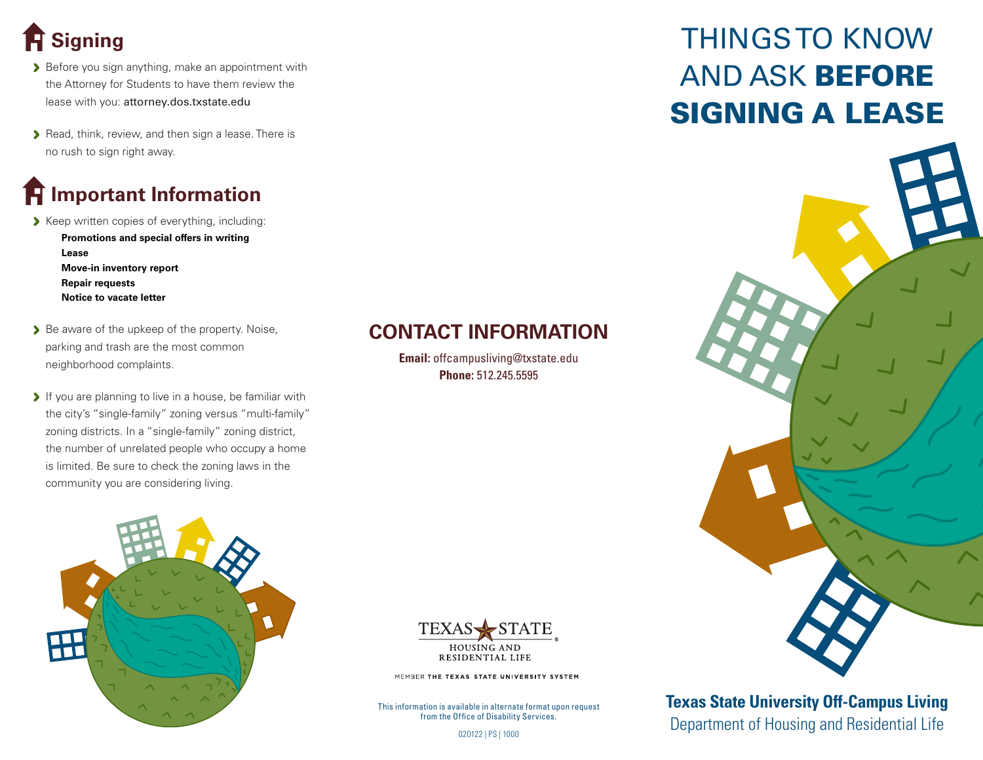# **Signing**

- Before you sign anything, make an appointment with the Attorney for Students to have them review the lease with you: attorney.dos.txstate.edu
- Read, think, review, and then sign a lease. There is no rush to sign right away.

### **Important Information**

- Keep written copies of everything, including:
	- **Promotions and special offers in writing Lease Move-in inventory report Repair requests Notice to vacate letter**
- Be aware of the upkeep of the property. Noise, parking and trash are the most common neighborhood complaints.
- If you are planning to live in a house, be familiar with the city's "single-family" zoning versus "multi-family" zoning districts. In a "single-family" zoning district, the number of unrelated people who occupy a home is limited. Be sure to check the zoning laws in the community you are considering living.



#### **CONTACT INFORMATION**

**Email:** offcampusliving@txstate.edu **Phone:** 512.245.5595



MEMBER THE TEXAS STATE UNIVERSITY SYSTEM

This information is available in alternate format upon request from the Office of Disability Services.

# THINGS TO KNOW AND ASK BEFORE SIGNING A LEASE



**Texas State University Off-Campus Living** THE OT DISADILITY SETVICES.<br>020122 | PS | 1000